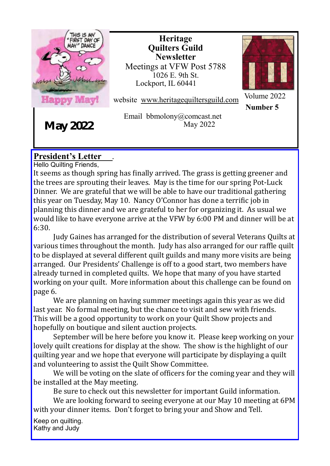

**Heritage Quilters Guild Newsletter** Meetings at VFW Post 5788 1026 E. 9th St. Lockport, IL 60441



website www.heritagequiltersguild.com

Email bbmolony@comcast.net May 2022

Volume 2022 **Number 5**

**May 2022**

### **President's Letter** .

Hello Quilting Friends,

It seems as though spring has finally arrived. The grass is getting greener and the trees are sprouting their leaves. May is the time for our spring Pot-Luck Dinner. We are grateful that we will be able to have our traditional gathering this year on Tuesday, May 10. Nancy O'Connor has done a terrific job in planning this dinner and we are grateful to her for organizing it. As usual we would like to have everyone arrive at the VFW by 6:00 PM and dinner will be at 6:30.

Judy Gaines has arranged for the distribution of several Veterans Quilts at various times throughout the month. Judy has also arranged for our raffle quilt to be displayed at several different quilt guilds and many more visits are being arranged. Our Presidents' Challenge is off to a good start, two members have already turned in completed quilts. We hope that many of you have started working on your quilt. More information about this challenge can be found on page 6.

We are planning on having summer meetings again this year as we did last year. No formal meeting, but the chance to visit and sew with friends. This will be a good opportunity to work on your Quilt Show projects and hopefully on boutique and silent auction projects.

September will be here before you know it. Please keep working on your lovely quilt creations for display at the show. The show is the highlight of our quilting year and we hope that everyone will participate by displaying a quilt and volunteering to assist the Quilt Show Committee.

We will be voting on the slate of officers for the coming year and they will be installed at the May meeting.

Be sure to check out this newsletter for important Guild information.

We are looking forward to seeing everyone at our May 10 meeting at 6PM with your dinner items. Don't forget to bring your and Show and Tell.

Keep on quilting. Kathy and Judy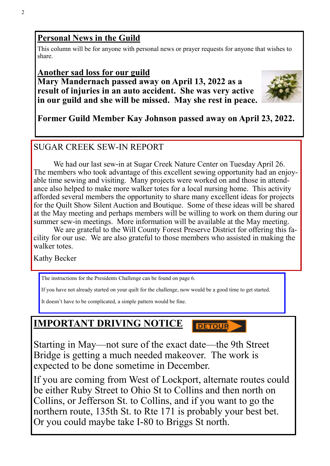### **Personal News in the Guild**

This column will be for anyone with personal news or prayer requests for anyone that wishes to share.

### **Another sad loss for our guild Mary Mandernach passed away on April 13, 2022 as a result of injuries in an auto accident. She was very active in our guild and she will be missed. May she rest in peace.**



### **Former Guild Member Kay Johnson passed away on April 23, 2022.**

### SUGAR CREEK SEW-IN REPORT

We had our last sew-in at Sugar Creek Nature Center on Tuesday April 26. The members who took advantage of this excellent sewing opportunity had an enjoyable time sewing and visiting. Many projects were worked on and those in attendance also helped to make more walker totes for a local nursing home. This activity afforded several members the opportunity to share many excellent ideas for projects for the Quilt Show Silent Auction and Boutique. Some of these ideas will be shared at the May meeting and perhaps members will be willing to work on them during our summer sew-in meetings. More information will be available at the May meeting.

We are grateful to the Will County Forest Preserve District for offering this facility for our use. We are also grateful to those members who assisted in making the walker totes.

Kathy Becker

The instructions for the Presidents Challenge can be found on page 6.

If you have not already started on your quilt for the challenge, now would be a good time to get started.

**DETOUR** 

It doesn't have to be complicated, a simple pattern would be fine.

## **IMPORTANT DRIVING NOTICE**

Starting in May—not sure of the exact date—the 9th Street Bridge is getting a much needed makeover. The work is expected to be done sometime in December.

If you are coming from West of Lockport, alternate routes could be either Ruby Street to Ohio St to Collins and then north on Collins, or Jefferson St. to Collins, and if you want to go the northern route, 135th St. to Rte 171 is probably your best bet. Or you could maybe take I-80 to Briggs St north.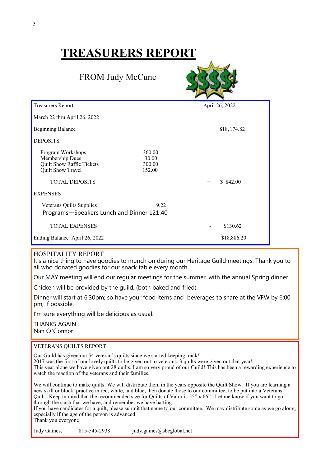# **TREASURERS REPORT**

FROM Judy McCune



| <b>Treasurers Report</b>                                                                                                           |                                     |        | April 26, 2022 |
|------------------------------------------------------------------------------------------------------------------------------------|-------------------------------------|--------|----------------|
| March 22 thru April 26, 2022                                                                                                       |                                     |        |                |
| <b>Beginning Balance</b>                                                                                                           |                                     |        | \$18,174.82    |
| <b>DEPOSITS</b>                                                                                                                    |                                     |        |                |
| Program Workshops<br>Membership Dues<br>Quilt Show Raffle Tickets<br>Quilt Show Travel<br><b>TOTAL DEPOSITS</b><br><b>EXPENSES</b> | 360.00<br>30.00<br>300.00<br>152.00 | $^{+}$ | \$842.00       |
| Veterans Quilts Supplies<br>Programs-Speakers Lunch and Dinner 121.40                                                              | 9.22                                |        |                |
| <b>TOTAL EXPENSES</b>                                                                                                              |                                     |        | \$130.62       |
| Ending Balance April 26, 2022                                                                                                      |                                     |        | \$18,886.20    |

### HOSPITALITY REPORT

It's a nice thing to have goodies to munch on during our Heritage Guild meetings. Thank you to all who donated goodies for our snack table every month.

Our MAY meeting will end our regular meetings for the summer, with the annual Spring dinner.

Chicken will be provided by the guild, (both baked and fried).

Dinner will start at 6:30pm; so have your food items and beverages to share at the VFW by 6:00 pm, if possible.

I'm sure everything will be delicious as usual.

THANKS AGAIN . Nan O'Connor

#### VETERANS QUILTS REPORT

Our Guild has given out 54 veteran's quilts since we started keeping track!

2017 was the first of our lovely quilts to be given out to veterans. 3 quilts were given out that year! This year alone we have given out 28 quilts. I am so very proud of our Guild! This has been a rewarding experience to watch the reaction of the veterans and their families.

We will continue to make quilts. We will distribute them in the years opposite the Quilt Show. If you are learning a new skill or block, practice in red, white, and blue; then donate those to our committee, to be put into a Veterans Quilt. Keep in mind that the recommended size for Quilts of Valor is 55" x 66". Let me know if you want to go through the stash that we have, and remember we have batting.

If you have candidates for a quilt, please submit that name to our committee. We may distribute some as we go along, especially if the age of the person is advanced.

Thank you everyone!

Judy Gaines, 815-545-2938 judy.gaines@sbcglobal.net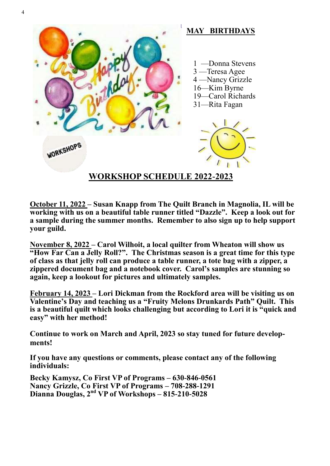

**October 11, 2022 – Susan Knapp from The Quilt Branch in Magnolia, IL will be working with us on a beautiful table runner titled "Dazzle". Keep a look out for a sample during the summer months. Remember to also sign up to help support your guild.**

**November 8, 2022 – Carol Wilhoit, a local quilter from Wheaton will show us "How Far Can a Jelly Roll?". The Christmas season is a great time for this type of class as that jelly roll can produce a table runner, a tote bag with a zipper, a zippered document bag and a notebook cover. Carol's samples are stunning so again, keep a lookout for pictures and ultimately samples.**

**February 14, 2023 – Lori Dickman from the Rockford area will be visiting us on Valentine's Day and teaching us a "Fruity Melons Drunkards Path" Quilt. This is a beautiful quilt which looks challenging but according to Lori it is "quick and easy" with her method!**

**Continue to work on March and April, 2023 so stay tuned for future developments!**

**If you have any questions or comments, please contact any of the following individuals:** 

**Becky Kamysz, Co First VP of Programs – 630-846-0561 Nancy Grizzle, Co First VP of Programs – 708-288-1291 Dianna Douglas, 2nd VP of Workshops – 815-210-5028**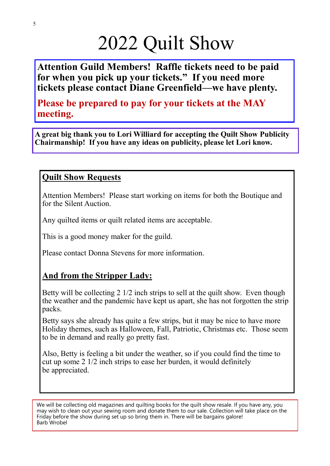# 2022 Quilt Show

**Attention Guild Members! Raffle tickets need to be paid for when you pick up your tickets." If you need more tickets please contact Diane Greenfield—we have plenty.**

**Please be prepared to pay for your tickets at the MAY meeting.**

**A great big thank you to Lori Williard for accepting the Quilt Show Publicity Chairmanship! If you have any ideas on publicity, please let Lori know.** 

### **Quilt Show Requests**

Attention Members! Please start working on items for both the Boutique and for the Silent Auction.

Any quilted items or quilt related items are acceptable.

This is a good money maker for the guild.

Please contact Donna Stevens for more information.

## **And from the Stripper Lady:**

Betty will be collecting 2 1/2 inch strips to sell at the quilt show. Even though the weather and the pandemic have kept us apart, she has not forgotten the strip packs.

Betty says she already has quite a few strips, but it may be nice to have more Holiday themes, such as Halloween, Fall, Patriotic, Christmas etc. Those seem to be in demand and really go pretty fast.

Also, Betty is feeling a bit under the weather, so if you could find the time to cut up some 2 1/2 inch strips to ease her burden, it would definitely be appreciated.

We will be collecting old magazines and quilting books for the quilt show resale. If you have any, you may wish to clean out your sewing room and donate them to our sale. Collection will take place on the Friday before the show during set up so bring them in. There will be bargains galore! Barb Wrobel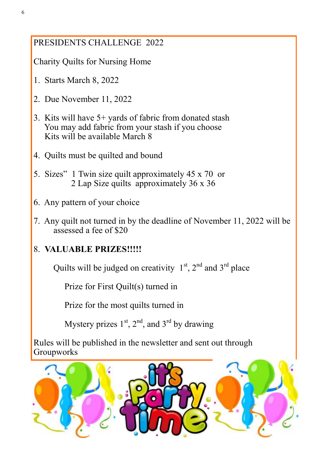### PRESIDENTS CHALLENGE 2022

Charity Quilts for Nursing Home

- 1. Starts March 8, 2022
- 2. Due November 11, 2022
- 3. Kits will have 5+ yards of fabric from donated stash You may add fabric from your stash if you choose Kits will be available March 8
- 4. Quilts must be quilted and bound
- 5. Sizes" 1 Twin size quilt approximately 45 x 70 or 2 Lap Size quilts approximately 36 x 36
- 6. Any pattern of your choice
- 7. Any quilt not turned in by the deadline of November 11, 2022 will be assessed a fee of \$20

### 8. **VALUABLE PRIZES!!!!!**

Quilts will be judged on creativity  $1<sup>st</sup>$ ,  $2<sup>nd</sup>$  and  $3<sup>rd</sup>$  place

Prize for First Quilt(s) turned in

Prize for the most quilts turned in

Mystery prizes  $1<sup>st</sup>$ ,  $2<sup>nd</sup>$ , and  $3<sup>rd</sup>$  by drawing

Rules will be published in the newsletter and sent out through **Groupworks**